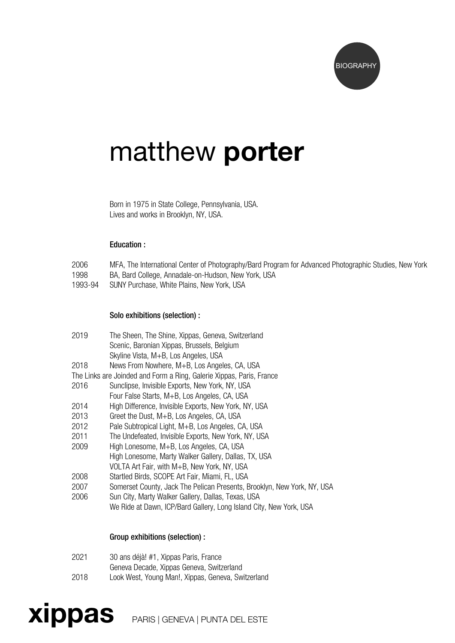

# matthew porter

Born in 1975 in State College, Pennsylvania, USA. Lives and works in Brooklyn, NY, USA.

#### Education :

- 2006 MFA, The International Center of Photography/Bard Program for Advanced Photographic Studies, New York<br>1998 BA, Bard College, Annadale-on-Hudson, New York, USA
- BA, Bard College, Annadale-on-Hudson, New York, USA
- 1993-94 SUNY Purchase, White Plains, New York, USA

#### Solo exhibitions (selection) :

| 2019 | The Sheen, The Shine, Xippas, Geneva, Switzerland                       |
|------|-------------------------------------------------------------------------|
|      | Scenic, Baronian Xippas, Brussels, Belgium                              |
|      | Skyline Vista, M+B, Los Angeles, USA                                    |
| 2018 | News From Nowhere, M+B, Los Angeles, CA, USA                            |
|      | The Links are Joinded and Form a Ring, Galerie Xippas, Paris, France    |
| 2016 | Sunclipse, Invisible Exports, New York, NY, USA                         |
|      | Four False Starts, M+B, Los Angeles, CA, USA                            |
| 2014 | High Difference, Invisible Exports, New York, NY, USA                   |
| 2013 | Greet the Dust, M+B, Los Angeles, CA, USA                               |
| 2012 | Pale Subtropical Light, M+B, Los Angeles, CA, USA                       |
| 2011 | The Undefeated, Invisible Exports, New York, NY, USA                    |
| 2009 | High Lonesome, M+B, Los Angeles, CA, USA                                |
|      | High Lonesome, Marty Walker Gallery, Dallas, TX, USA                    |
|      | VOLTA Art Fair, with M+B, New York, NY, USA                             |
| 2008 | Startled Birds, SCOPE Art Fair, Miami, FL, USA                          |
| 2007 | Somerset County, Jack The Pelican Presents, Brooklyn, New York, NY, USA |
| 2006 | Sun City, Marty Walker Gallery, Dallas, Texas, USA                      |
|      | We Ride at Dawn, ICP/Bard Gallery, Long Island City, New York, USA      |

## Group exhibitions (selection) :

| 2021 | 30 ans déjà! #1, Xippas Paris, France              |
|------|----------------------------------------------------|
|      | Geneva Decade, Xippas Geneva, Switzerland          |
| 2018 | Look West, Young Man!, Xippas, Geneva, Switzerland |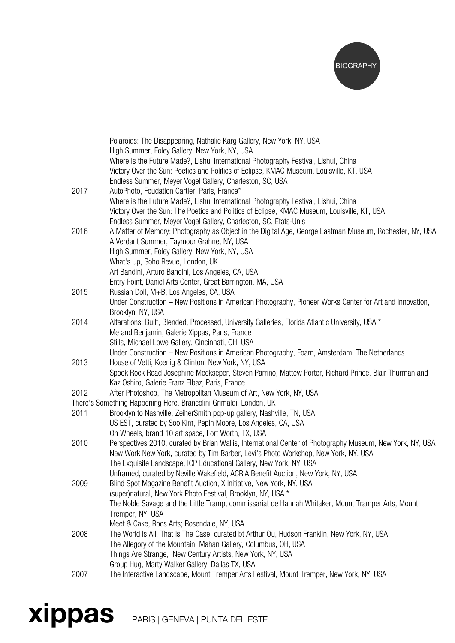

|      | Polaroids: The Disappearing, Nathalie Karg Gallery, New York, NY, USA                                                                                    |
|------|----------------------------------------------------------------------------------------------------------------------------------------------------------|
|      | High Summer, Foley Gallery, New York, NY, USA<br>Where is the Future Made?, Lishui International Photography Festival, Lishui, China                     |
|      | Victory Over the Sun: Poetics and Politics of Eclipse, KMAC Museum, Louisville, KT, USA                                                                  |
| 2017 | Endless Summer, Meyer Vogel Gallery, Charleston, SC, USA<br>AutoPhoto, Foudation Cartier, Paris, France*                                                 |
|      | Where is the Future Made?, Lishui International Photography Festival, Lishui, China                                                                      |
|      | Victory Over the Sun: The Poetics and Politics of Eclipse, KMAC Museum, Louisville, KT, USA                                                              |
|      | Endless Summer, Meyer Vogel Gallery, Charleston, SC, Etats-Unis                                                                                          |
| 2016 | A Matter of Memory: Photography as Object in the Digital Age, George Eastman Museum, Rochester, NY, USA                                                  |
|      | A Verdant Summer, Taymour Grahne, NY, USA                                                                                                                |
|      | High Summer, Foley Gallery, New York, NY, USA                                                                                                            |
|      | What's Up, Soho Revue, London, UK                                                                                                                        |
|      | Art Bandini, Arturo Bandini, Los Angeles, CA, USA                                                                                                        |
|      | Entry Point, Daniel Arts Center, Great Barrington, MA, USA                                                                                               |
| 2015 | Russian Doll, M+B, Los Angeles, CA, USA                                                                                                                  |
|      | Under Construction - New Positions in American Photography, Pioneer Works Center for Art and Innovation,                                                 |
|      | Brooklyn, NY, USA                                                                                                                                        |
| 2014 | Altarations: Built, Blended, Processed, University Galleries, Florida Atlantic University, USA *<br>Me and Benjamin, Galerie Xippas, Paris, France       |
|      | Stills, Michael Lowe Gallery, Cincinnati, OH, USA                                                                                                        |
|      | Under Construction - New Positions in American Photography, Foam, Amsterdam, The Netherlands                                                             |
| 2013 | House of Vetti, Koenig & Clinton, New York, NY, USA                                                                                                      |
|      | Spook Rock Road Josephine Meckseper, Steven Parrino, Mattew Porter, Richard Prince, Blair Thurman and                                                    |
|      | Kaz Oshiro, Galerie Franz Elbaz, Paris, France                                                                                                           |
| 2012 | After Photoshop, The Metropolitan Museum of Art, New York, NY, USA                                                                                       |
|      | There's Something Happening Here, Brancolini Grimaldi, London, UK                                                                                        |
| 2011 | Brooklyn to Nashville, ZeiherSmith pop-up gallery, Nashville, TN, USA                                                                                    |
|      | US EST, curated by Soo Kim, Pepin Moore, Los Angeles, CA, USA                                                                                            |
|      | On Wheels, brand 10 art space, Fort Worth, TX, USA                                                                                                       |
| 2010 | Perspectives 2010, curated by Brian Wallis, International Center of Photography Museum, New York, NY, USA                                                |
|      | New Work New York, curated by Tim Barber, Levi's Photo Workshop, New York, NY, USA                                                                       |
|      | The Exquisite Landscape, ICP Educational Gallery, New York, NY, USA                                                                                      |
| 2009 | Unframed, curated by Neville Wakefield, ACRIA Benefit Auction, New York, NY, USA<br>Blind Spot Magazine Benefit Auction, X Initiative, New York, NY, USA |
|      | (super)natural, New York Photo Festival, Brooklyn, NY, USA *                                                                                             |
|      | The Noble Savage and the Little Tramp, commissariat de Hannah Whitaker, Mount Tramper Arts, Mount                                                        |
|      | Tremper, NY, USA                                                                                                                                         |
|      | Meet & Cake, Roos Arts; Rosendale, NY, USA                                                                                                               |
| 2008 | The World Is All, That Is The Case, curated bt Arthur Ou, Hudson Franklin, New York, NY, USA                                                             |
|      | The Allegory of the Mountain, Mahan Gallery, Columbus, OH, USA                                                                                           |
|      | Things Are Strange, New Century Artists, New York, NY, USA                                                                                               |
|      | Group Hug, Marty Walker Gallery, Dallas TX, USA                                                                                                          |
| 2007 | The Interactive Landscape, Mount Tremper Arts Festival, Mount Tremper, New York, NY, USA                                                                 |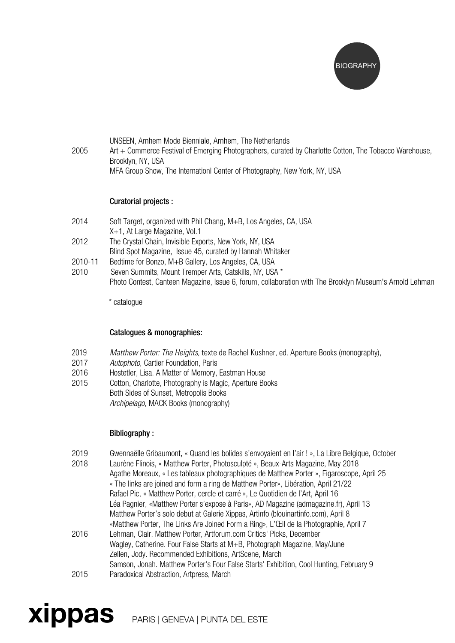

| 2005 | UNSEEN, Arnhem Mode Bienniale, Arnhem, The Netherlands<br>Art + Commerce Festival of Emerging Photographers, curated by Charlotte Cotton, The Tobacco Warehouse, |
|------|------------------------------------------------------------------------------------------------------------------------------------------------------------------|
|      | Brooklyn, NY, USA                                                                                                                                                |
|      | MFA Group Show, The Internation Center of Photography, New York, NY, USA                                                                                         |

## Curatorial projects :

- 2014 Soft Target, organized with Phil Chang, M+B, Los Angeles, CA, USA X+1, At Large Magazine, Vol.1 2012 The Crystal Chain, Invisible Exports, New York, NY, USA Blind Spot Magazine, Issue 45, curated by Hannah Whitaker
- 2010-11 Bedtime for Bonzo, M+B Gallery, Los Angeles, CA, USA
- 2010 Seven Summits, Mount Tremper Arts, Catskills, NY, USA \* Photo Contest, Canteen Magazine, Issue 6, forum, collaboration with The Brooklyn Museum's Arnold Lehman

\* catalogue

## Catalogues & monographies:

- 2019 *Matthew Porter: The Heights*, texte de Rachel Kushner, ed. Aperture Books (monography),
- 2017 *Autophoto*, Cartier Foundation, Paris
- 2016 Hostetler, Lisa. A Matter of Memory, Eastman House
- 2015 Cotton, Charlotte, Photography is Magic, Aperture Books Both Sides of Sunset, Metropolis Books *Archipelago,* MACK Books (monography)

## Bibliography :

- 2019 Gwennaëlle Gribaumont, « Quand les bolides s'envoyaient en l'air ! », La Libre Belgique, October<br>2018 Laurène Flinois « Matthew Porter Photosculoté » Beaux-Arts Magazine May 2018
- 2018 Laurène Flinois, « Matthew Porter, Photosculpté », Beaux-Arts Magazine, May 2018
- Agathe Moreaux, « Les tableaux photographiques de Matthew Porter », Figaroscope, April 25 « The links are joined and form a ring de Matthew Porter», Libération, April 21/22 Rafael Pic, « Matthew Porter, cercle et carré », Le Quotidien de l'Art, April 16 Léa Pagnier, «Matthew Porter s'expose à Paris», AD Magazine (admagazine.fr), April 13 Matthew Porter's solo debut at Galerie Xippas, Artinfo (blouinartinfo.com), April 8 «Matthew Porter, The Links Are Joined Form a Ring», L'Œil de la Photographie, April 7
- 2016 Lehman, Clair. Matthew Porter, Artforum.com Critics' Picks, December Wagley, Catherine. Four False Starts at M+B, Photograph Magazine, May/June Zellen, Jody. Recommended Exhibitions, ArtScene, March Samson, Jonah. Matthew Porter's Four False Starts' Exhibition, Cool Hunting, February 9 2015 Paradoxical Abstraction, Artpress, March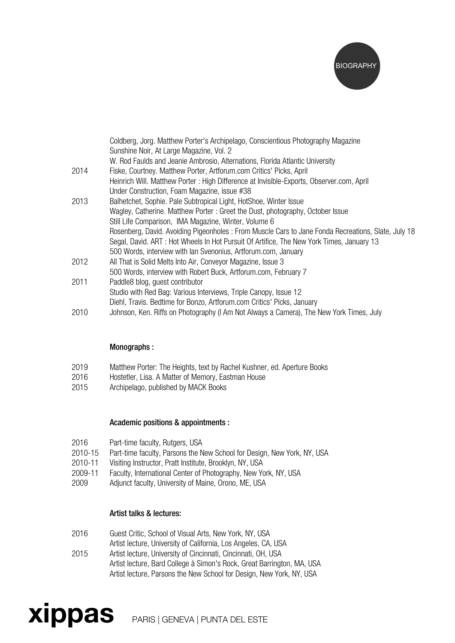

|      | Coldberg, Jorg. Matthew Porter's Archipelago, Conscientious Photography Magazine<br>Sunshine Noir, At Large Magazine, Vol. 2 |
|------|------------------------------------------------------------------------------------------------------------------------------|
|      | W. Rod Faulds and Jeanie Ambrosio, Alternations, Florida Atlantic University                                                 |
| 2014 | Fiske, Courtney. Matthew Porter, Artforum.com Critics' Picks, April                                                          |
|      | Heinrich Will. Matthew Porter: High Difference at Invisible-Exports, Observer.com, April                                     |
|      | Under Construction, Foam Magazine, issue #38                                                                                 |
| 2013 | Balhetchet, Sophie. Pale Subtropical Light, HotShoe, Winter Issue                                                            |
|      | Wagley, Catherine. Matthew Porter: Greet the Dust, photography, October Issue                                                |
|      | Still Life Comparison, IMA Magazine, Winter, Volume 6                                                                        |
|      | Rosenberg, David. Avoiding Pigeonholes: From Muscle Cars to Jane Fonda Recreations, Slate, July 18                           |
|      | Segal, David. ART: Hot Wheels In Hot Pursuit Of Artifice, The New York Times, January 13                                     |
|      | 500 Words, interview with lan Svenonius, Artforum.com, January                                                               |
| 2012 | All That is Solid Melts Into Air, Conveyor Magazine, Issue 3                                                                 |
|      | 500 Words, interview with Robert Buck, Artforum.com, February 7                                                              |
| 2011 | Paddle8 blog, guest contributor                                                                                              |
|      | Studio with Red Bag: Various Interviews, Triple Canopy, Issue 12                                                             |
|      | Diehl, Travis. Bedtime for Bonzo, Artforum.com Critics' Picks, January                                                       |
| 2010 | Johnson, Ken. Riffs on Photography (I Am Not Always a Camera), The New York Times, July                                      |

## Monographs :

- 2019 Matthew Porter: The Heights, text by Rachel Kushner, ed. Aperture Books
- 2016 Hostetler, Lisa. A Matter of Memory, Eastman House
- 2015 Archipelago, published by MACK Books

#### Academic positions & appointments :

- 2016 Part-time faculty, Rutgers, USA
- 2010-15 Part-time faculty, Parsons the New School for Design, New York, NY, USA
- 2010-11 Visiting Instructor, Pratt Institute, Brooklyn, NY, USA
- 2009-11 Faculty, International Center of Photography, New York, NY, USA<br>2009 Adiunct faculty. University of Maine. Orono. ME. USA
- Adjunct faculty, University of Maine, Orono, ME, USA

#### Artist talks & lectures:

- 2016 Guest Critic, School of Visual Arts, New York, NY, USA
- Artist lecture, University of California, Los Angeles, CA, USA
- 2015 Artist lecture, University of Cincinnati, Cincinnati, OH, USA Artist lecture, Bard College à Simon's Rock, Great Barrington, MA, USA Artist lecture, Parsons the New School for Design, New York, NY, USA